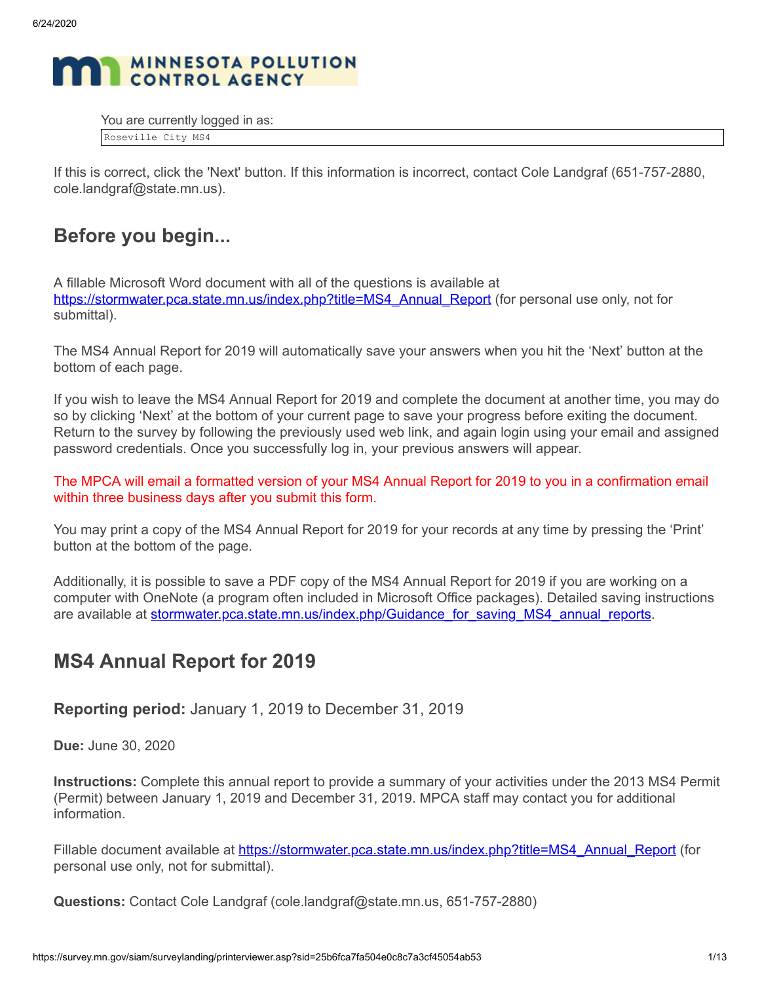

You are currently logged in as:

Roseville City MS4

If this is correct, click the 'Next' button. If this information is incorrect, contact Cole Landgraf (651-757-2880, cole.landgraf@state.mn.us).

# **Before you begin...**

A fillable Microsoft Word document with all of the questions is available at [https://stormwater.pca.state.mn.us/index.php?title=MS4\\_Annual\\_Report](https://stormwater.pca.state.mn.us/index.php?title=MS4_Annual_Report) (for personal use only, not for submittal).

The MS4 Annual Report for 2019 will automatically save your answers when you hit the 'Next' button at the bottom of each page.

If you wish to leave the MS4 Annual Report for 2019 and complete the document at another time, you may do so by clicking 'Next' at the bottom of your current page to save your progress before exiting the document. Return to the survey by following the previously used web link, and again login using your email and assigned password credentials. Once you successfully log in, your previous answers will appear.

The MPCA will email a formatted version of your MS4 Annual Report for 2019 to you in a confirmation email within three business days after you submit this form.

You may print a copy of the MS4 Annual Report for 2019 for your records at any time by pressing the 'Print' button at the bottom of the page.

Additionally, it is possible to save a PDF copy of the MS4 Annual Report for 2019 if you are working on a computer with OneNote (a program often included in Microsoft Office packages). Detailed saving instructions are available at [stormwater.pca.state.mn.us/index.php/Guidance\\_for\\_saving\\_MS4\\_annual\\_reports.](http://stormwater.pca.state.mn.us/index.php/Guidance_for_saving_MS4_annual_reports)

# **MS4 Annual Report for 2019**

**Reporting period:** January 1, 2019 to December 31, 2019

**Due:** June 30, 2020

**Instructions:** Complete this annual report to provide a summary of your activities under the 2013 MS4 Permit (Permit) between January 1, 2019 and December 31, 2019. MPCA staff may contact you for additional information.

Fillable document available at [https://stormwater.pca.state.mn.us/index.php?title=MS4\\_Annual\\_Report](https://stormwater.pca.state.mn.us/index.php?title=MS4_Annual_Report) (for personal use only, not for submittal).

**Questions:** Contact Cole Landgraf (cole.landgraf@state.mn.us, 651-757-2880)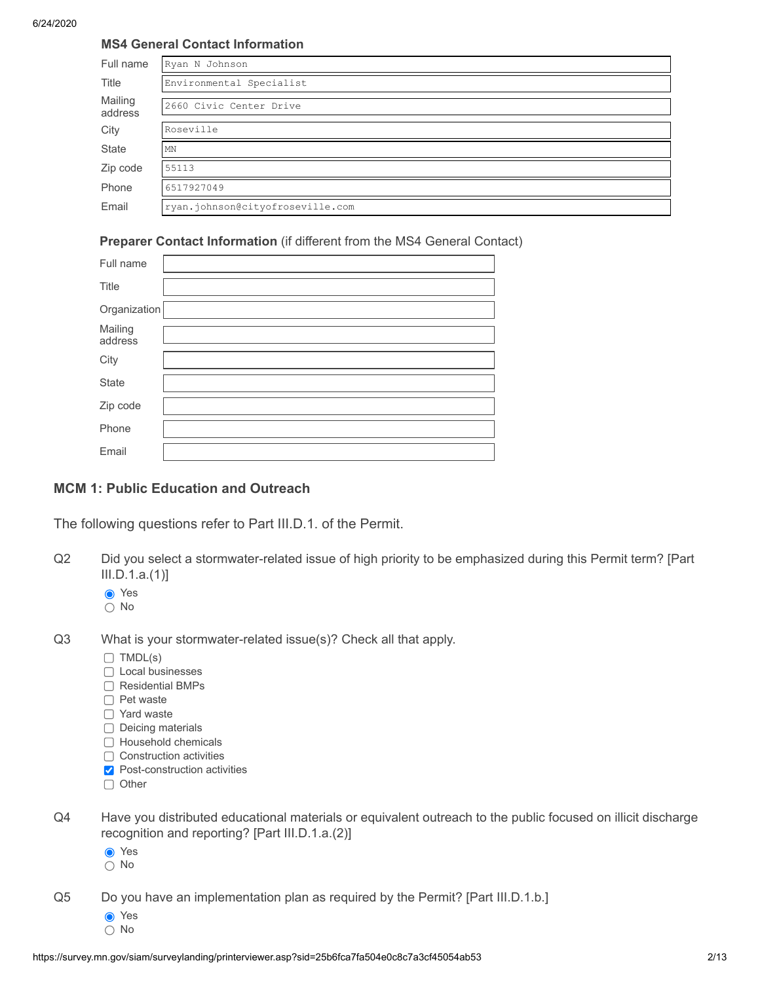### **MS4 General Contact Information**

| Full name          | Ryan N Johnson                   |
|--------------------|----------------------------------|
| Title              | Environmental Specialist         |
| Mailing<br>address | 2660 Civic Center Drive          |
| City               | Roseville                        |
| <b>State</b>       | MN                               |
| Zip code           | 55113                            |
| Phone              | 6517927049                       |
| Email              | ryan.johnson@cityofroseville.com |

### **Preparer Contact Information** (if different from the MS4 General Contact)

| Full name          |  |
|--------------------|--|
| Title              |  |
| Organization       |  |
| Mailing<br>address |  |
| City               |  |
| <b>State</b>       |  |
| Zip code           |  |
| Phone              |  |
| Email              |  |

### **MCM 1: Public Education and Outreach**

The following questions refer to Part III.D.1. of the Permit.

- Q2 Did you select a stormwater-related issue of high priority to be emphasized during this Permit term? [Part III.D.1.a.(1)]
	- **O** Yes
	- $\bigcap$  No
- Q3 What is your stormwater-related issue(s)? Check all that apply.
	- $\Box$  TMDL(s)
	- □ Local businesses
	- Residential BMPs
	- □ Pet waste
	- □ Yard waste
	- $\Box$  Deicing materials
	- □ Household chemicals
	- $\Box$  Construction activities
	- **Post-construction activities**
	- $\Box$  Other
- Q4 Have you distributed educational materials or equivalent outreach to the public focused on illicit discharge recognition and reporting? [Part III.D.1.a.(2)]
	- **●** Yes
	- No

Q5 Do you have an implementation plan as required by the Permit? [Part III.D.1.b.]

- **●** Yes
- $\bigcap$  No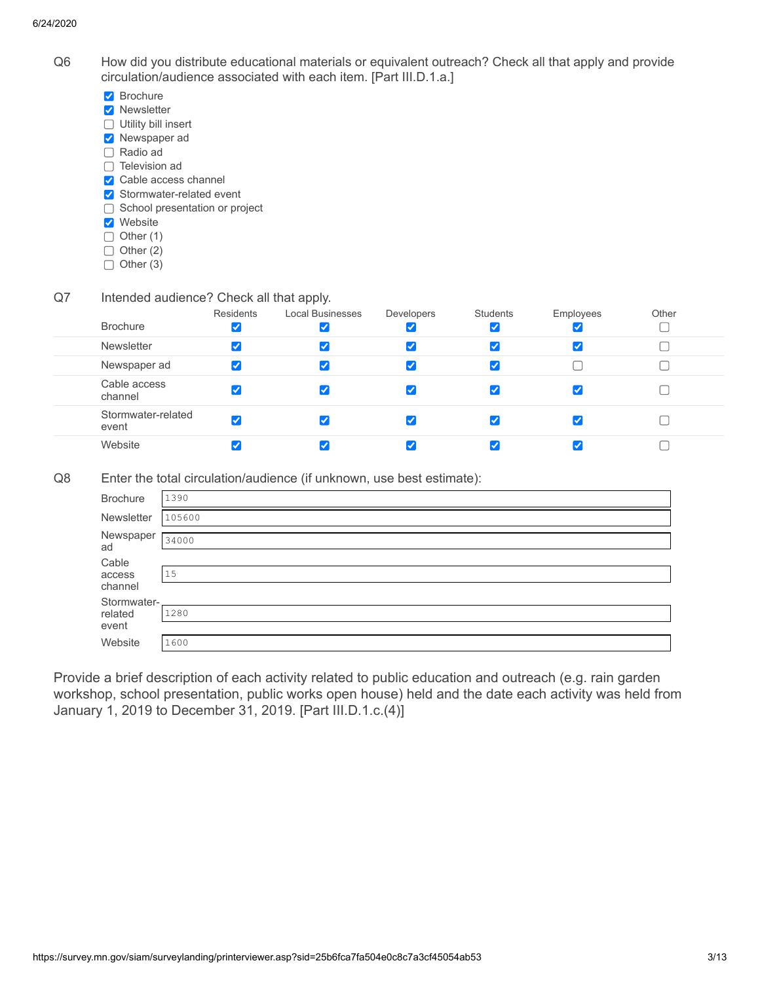- Q6 How did you distribute educational materials or equivalent outreach? Check all that apply and provide circulation/audience associated with each item. [Part III.D.1.a.]
	- **Brochure**
	- **V** Newsletter
	- □ Utility bill insert
	- **Newspaper ad**
	- Radio ad  $\Box$  Television ad
	- Cable access channel
	- Stormwater-related event
	- □ School presentation or project
	- **V** Website
	- $\Box$  Other (1)
	- $\Box$  Other (2)
	- $\bigcap$  Other (3)
- Q7 Intended audience? Check all that apply.

| <b>Brochure</b>             | Residents<br>✔ | <b>Local Businesses</b> | Developers | <b>Students</b> | Employees<br>✔       | Other |
|-----------------------------|----------------|-------------------------|------------|-----------------|----------------------|-------|
| <b>Newsletter</b>           | ✔              | ✔                       |            |                 | $\blacktriangledown$ |       |
| Newspaper ad                | ✓              |                         |            |                 |                      |       |
| Cable access<br>channel     |                |                         |            |                 | ✔                    |       |
| Stormwater-related<br>event |                |                         |            |                 | $\blacktriangledown$ |       |
| Website                     |                |                         |            |                 |                      |       |

Q8 Enter the total circulation/audience (if unknown, use best estimate):

|                 | $\mathbf{v}$<br>$\mathbf{z}$ |
|-----------------|------------------------------|
| <b>Brochure</b> | 1390                         |
| Newsletter      | 105600                       |
| Newspaper<br>ad | 34000                        |
| Cable           |                              |
| access          | 15                           |
| channel         |                              |
| Stormwater-     |                              |
| related         | 1280                         |
| event           |                              |
| Website         | 1600                         |
|                 |                              |

Provide a brief description of each activity related to public education and outreach (e.g. rain garden workshop, school presentation, public works open house) held and the date each activity was held from January 1, 2019 to December 31, 2019. [Part III.D.1.c.(4)]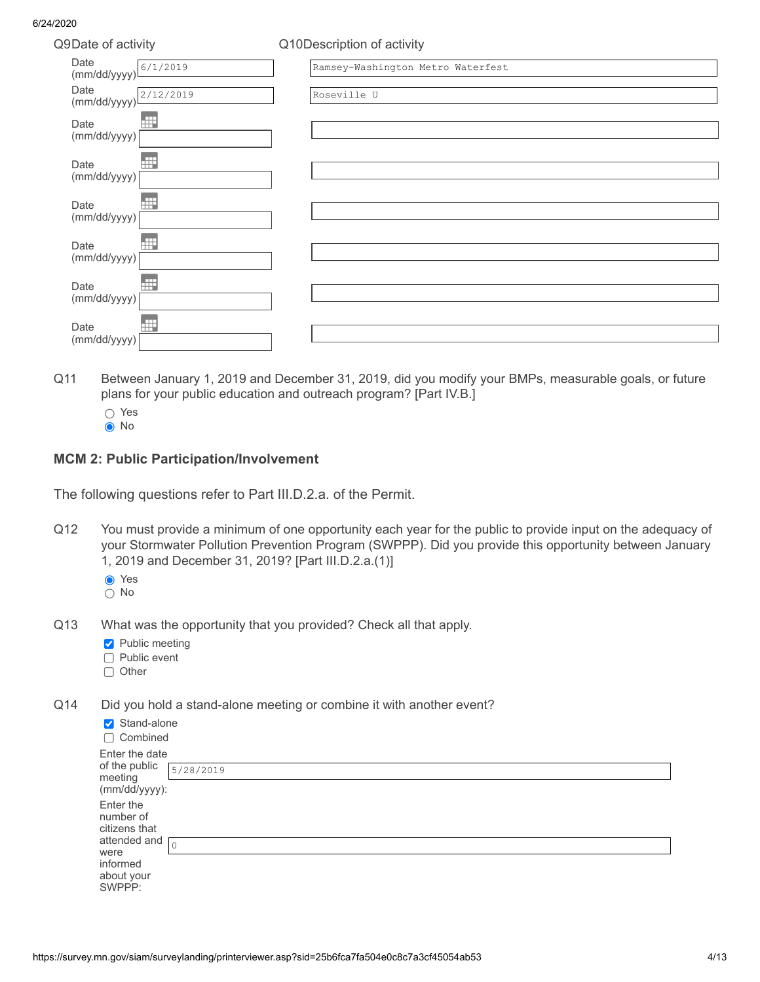| Q9Date of activity   |           | Q10Description of activity        |
|----------------------|-----------|-----------------------------------|
| Date<br>(mm/dd/yyyy) | 6/1/2019  | Ramsey-Washington Metro Waterfest |
| Date<br>(mm/dd/yyyy) | 2/12/2019 | Roseville U                       |
| Date<br>(mm/dd/yyyy) | 冊         |                                   |
| Date<br>(mm/dd/yyyy) | Ħ         |                                   |
| Date<br>(mm/dd/yyyy) | Ħ         |                                   |
| Date<br>(mm/dd/yyyy) | HF        |                                   |
| Date<br>(mm/dd/yyyy) | Ħ         |                                   |
| Date<br>(mm/dd/yyyy) | 冊         |                                   |

- Q11 Between January 1, 2019 and December 31, 2019, did you modify your BMPs, measurable goals, or future plans for your public education and outreach program? [Part IV.B.]
	- ∩ Yes
	- **O**No

### **MCM 2: Public Participation/Involvement**

The following questions refer to Part III.D.2.a. of the Permit.

- Q12 You must provide a minimum of one opportunity each year for the public to provide input on the adequacy of your Stormwater Pollution Prevention Program (SWPPP). Did you provide this opportunity between January 1, 2019 and December 31, 2019? [Part III.D.2.a.(1)]
	- **⊙** Yes
	- $\bigcap$  No
- Q13 What was the opportunity that you provided? Check all that apply.
	- **Public meeting**
	- $\Box$  Public event
	- $\Box$  Other
- Q14 Did you hold a stand-alone meeting or combine it with another event?

| Stand-alone<br>$\Box$ Combined                                                                      |           |
|-----------------------------------------------------------------------------------------------------|-----------|
| Enter the date<br>of the public<br>meeting<br>(mm/dd/yyyy):                                         | 5/28/2019 |
| Enter the<br>number of<br>citizens that<br>attended and<br>were<br>informed<br>about your<br>SWPPP: |           |
|                                                                                                     | $\Omega$  |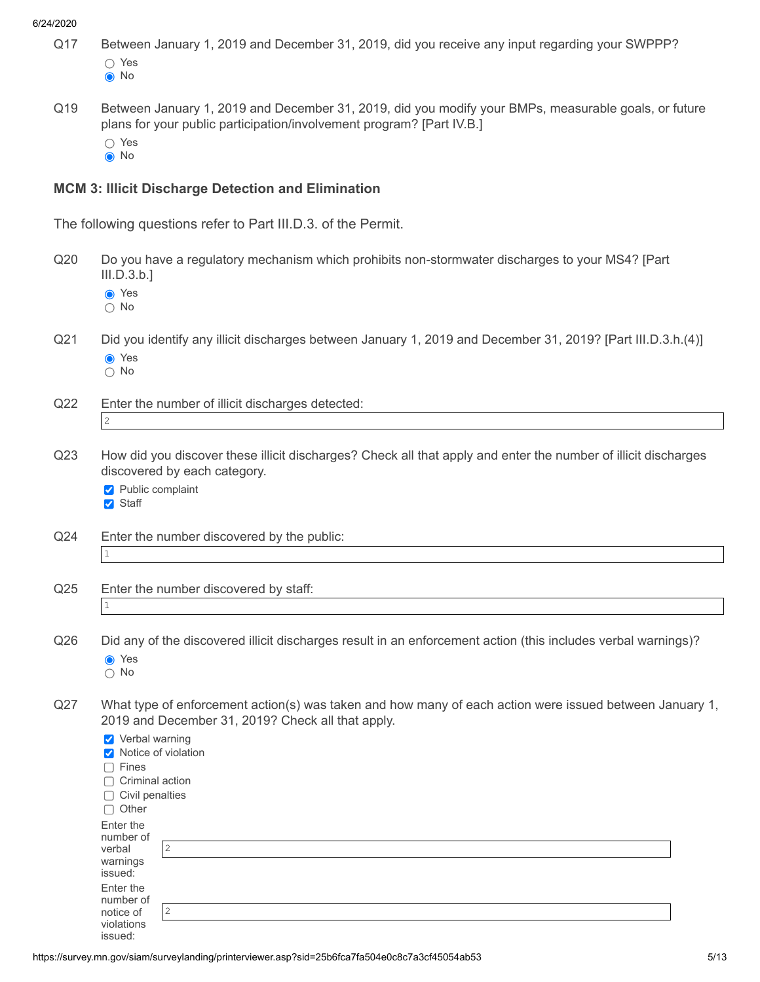- Q17 Between January 1, 2019 and December 31, 2019, did you receive any input regarding your SWPPP? ∩ Yes
	- **O**No
- Q19 Between January 1, 2019 and December 31, 2019, did you modify your BMPs, measurable goals, or future plans for your public participation/involvement program? [Part IV.B.]
	- ∩ Yes
	- **O**No

### **MCM 3: Illicit Discharge Detection and Elimination**

The following questions refer to Part III.D.3. of the Permit.

- Q20 Do you have a regulatory mechanism which prohibits non-stormwater discharges to your MS4? [Part III.D.3.b.]
	- **●** Yes
	- $\cap$  No
- Q21 Did you identify any illicit discharges between January 1, 2019 and December 31, 2019? [Part III.D.3.h.(4)]
	- **O** Yes  $\bigcap$  No
- Q22 Enter the number of illicit discharges detected:
	- 2
- Q23 How did you discover these illicit discharges? Check all that apply and enter the number of illicit discharges discovered by each category.
	- Public complaint **V** Staff
- Q24 Enter the number discovered by the public: 1
- Q25 Enter the number discovered by staff: 1
- Q26 Did any of the discovered illicit discharges result in an enforcement action (this includes verbal warnings)? **⊙** Yes
	- No
- Q27 What type of enforcement action(s) was taken and how many of each action were issued between January 1, 2019 and December 31, 2019? Check all that apply.

| Verbal warning                                               |                |
|--------------------------------------------------------------|----------------|
| V Notice of violation                                        |                |
| Fines<br>$\Box$                                              |                |
| Criminal action<br>$\Box$                                    |                |
| Civil penalties<br>$\Box$                                    |                |
| Other<br>$\Box$                                              |                |
| Enter the<br>number of<br>verbal<br>warnings<br>issued:      | $\overline{c}$ |
| Enter the<br>number of<br>notice of<br>violations<br>issued: | 2              |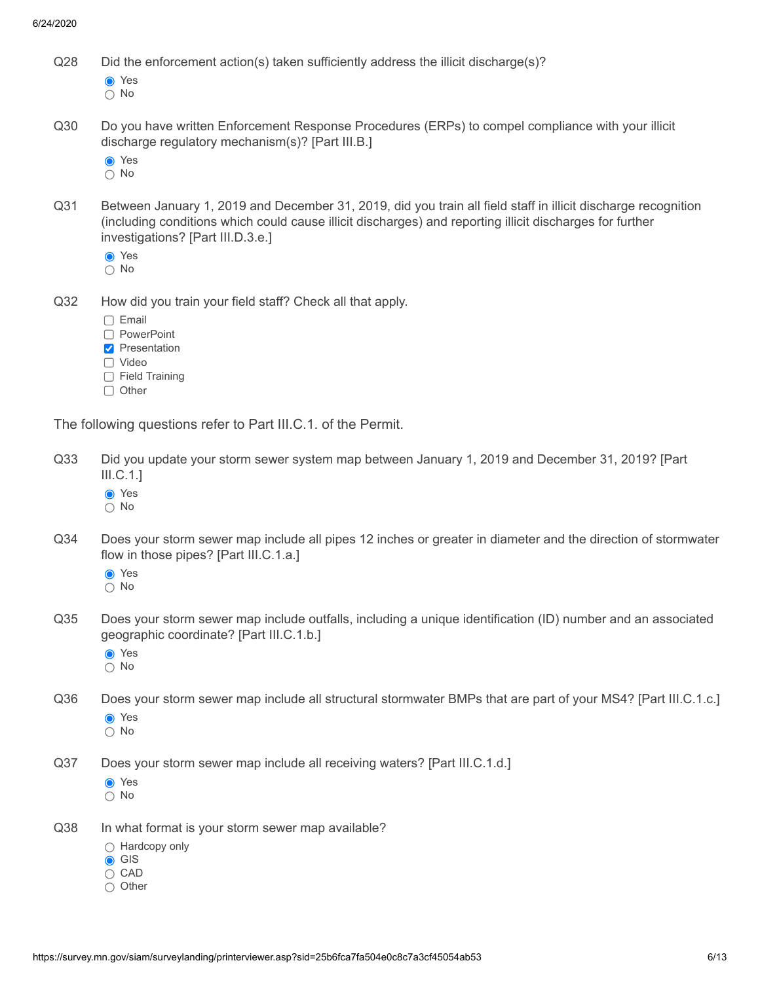Q28 Did the enforcement action(s) taken sufficiently address the illicit discharge(s)?

**⊙** Yes

○ No

Q30 Do you have written Enforcement Response Procedures (ERPs) to compel compliance with your illicit discharge regulatory mechanism(s)? [Part III.B.]

**⊙** Yes

- $\overline{O}$  No
- Q31 Between January 1, 2019 and December 31, 2019, did you train all field staff in illicit discharge recognition (including conditions which could cause illicit discharges) and reporting illicit discharges for further investigations? [Part III.D.3.e.]
	- **⊙** Yes ○ No
- Q32 How did you train your field staff? Check all that apply.
	- $\Box$  Email
	- □ PowerPoint
	- **Presentation**
	- Video
	- $\Box$  Field Training
	- $\Box$  Other

The following questions refer to Part III.C.1. of the Permit.

- Q33 Did you update your storm sewer system map between January 1, 2019 and December 31, 2019? [Part III.C.1.]
	- **⊙** Yes
	- $\bigcap$  No
- Q34 Does your storm sewer map include all pipes 12 inches or greater in diameter and the direction of stormwater flow in those pipes? [Part III.C.1.a.]
	- **O** Yes

 $\bigcirc$  No

- Q35 Does your storm sewer map include outfalls, including a unique identification (ID) number and an associated geographic coordinate? [Part III.C.1.b.]
	- **⊙** Yes
	- No
- Q36 Does your storm sewer map include all structural stormwater BMPs that are part of your MS4? [Part III.C.1.c.]
	- **O** Yes
	- No
- Q37 Does your storm sewer map include all receiving waters? [Part III.C.1.d.]
	- **●** Yes
	- No
- Q38 In what format is your storm sewer map available?
	- $\bigcap$  Hardcopy only
	- **GIS**
	- $\bigcirc$  CAD
	- $\bigcirc$  Other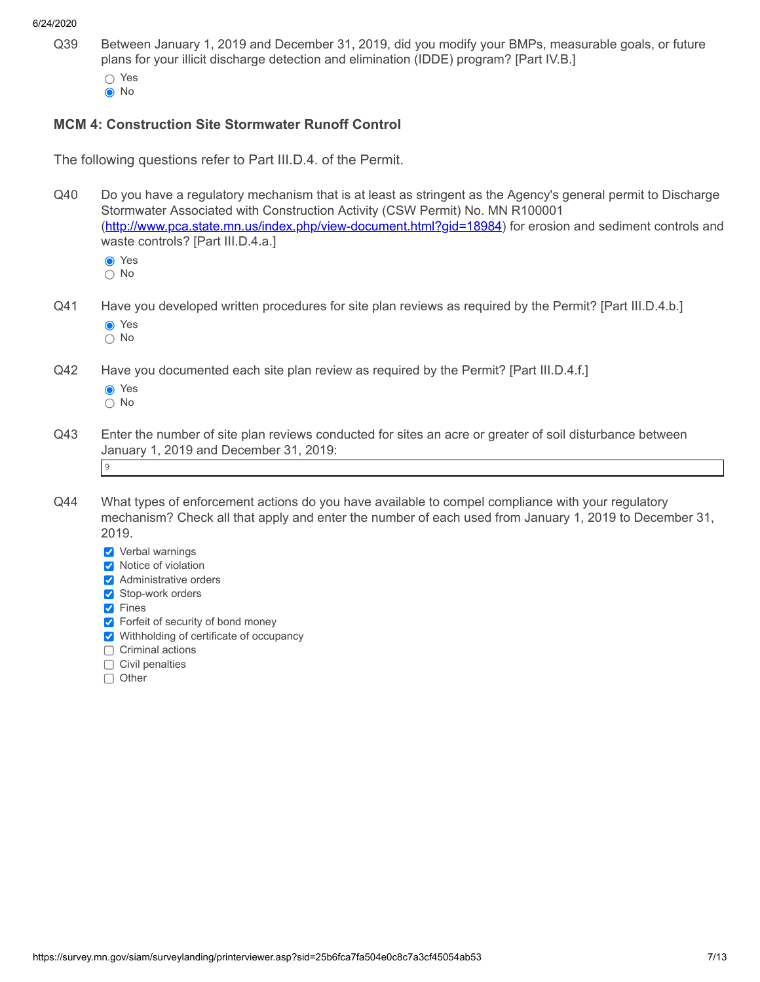- Q39 Between January 1, 2019 and December 31, 2019, did you modify your BMPs, measurable goals, or future plans for your illicit discharge detection and elimination (IDDE) program? [Part IV.B.]
	- ∩ Yes **O**No
	-

## **MCM 4: Construction Site Stormwater Runoff Control**

The following questions refer to Part III.D.4. of the Permit.

Q40 Do you have a regulatory mechanism that is at least as stringent as the Agency's general permit to Discharge Stormwater Associated with Construction Activity (CSW Permit) No. MN R100001 [\(http://www.pca.state.mn.us/index.php/view-document.html?gid=18984](http://www.pca.state.mn.us/index.php/view-document.html?gid=18984)) for erosion and sediment controls and waste controls? [Part III.D.4.a.]

**⊙** Yes

○ No

- Q41 Have you developed written procedures for site plan reviews as required by the Permit? [Part III.D.4.b.] **O** Yes
	- $\bigcap$  No
- Q42 Have you documented each site plan review as required by the Permit? [Part III.D.4.f.]
	- **O** Yes
	- No
- Q43 Enter the number of site plan reviews conducted for sites an acre or greater of soil disturbance between January 1, 2019 and December 31, 2019: 9
- 
- Q44 What types of enforcement actions do you have available to compel compliance with your regulatory mechanism? Check all that apply and enter the number of each used from January 1, 2019 to December 31, 2019.
	- **Verbal warnings**
	- **V** Notice of violation
	- **Administrative orders**
	- Stop-work orders
	- **V** Fines
	- **Forfeit of security of bond money**
	- Withholding of certificate of occupancy
	- □ Criminal actions
	- $\Box$  Civil penalties
	- □ Other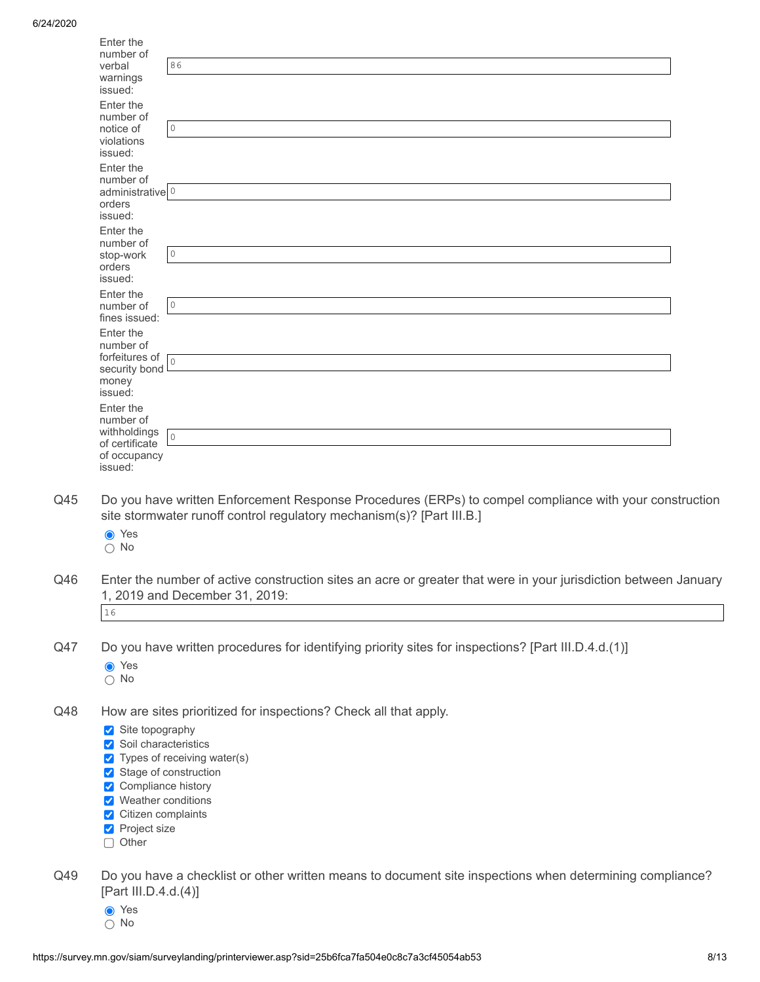|     | Enter the                                |                                                                                                                                                                                 |  |
|-----|------------------------------------------|---------------------------------------------------------------------------------------------------------------------------------------------------------------------------------|--|
|     | number of<br>verbal                      | 86                                                                                                                                                                              |  |
|     | warnings                                 |                                                                                                                                                                                 |  |
|     | issued:<br>Enter the                     |                                                                                                                                                                                 |  |
|     | number of                                |                                                                                                                                                                                 |  |
|     | notice of                                | $\circ$                                                                                                                                                                         |  |
|     | violations<br>issued:                    |                                                                                                                                                                                 |  |
|     | Enter the                                |                                                                                                                                                                                 |  |
|     | number of<br>administrative <sup>0</sup> |                                                                                                                                                                                 |  |
|     | orders                                   |                                                                                                                                                                                 |  |
|     | issued:                                  |                                                                                                                                                                                 |  |
|     | Enter the<br>number of                   |                                                                                                                                                                                 |  |
|     | stop-work                                | $\circ$                                                                                                                                                                         |  |
|     | orders<br>issued:                        |                                                                                                                                                                                 |  |
|     | Enter the                                |                                                                                                                                                                                 |  |
|     | number of<br>fines issued:               | $\circ$                                                                                                                                                                         |  |
|     | Enter the                                |                                                                                                                                                                                 |  |
|     | number of                                |                                                                                                                                                                                 |  |
|     | forfeitures of<br>security bond L        | $\circ$                                                                                                                                                                         |  |
|     | money                                    |                                                                                                                                                                                 |  |
|     | issued:<br>Enter the                     |                                                                                                                                                                                 |  |
|     | number of                                |                                                                                                                                                                                 |  |
|     | withholdings<br>of certificate           | $\circ$                                                                                                                                                                         |  |
|     | of occupancy                             |                                                                                                                                                                                 |  |
|     | issued:                                  |                                                                                                                                                                                 |  |
| Q45 |                                          |                                                                                                                                                                                 |  |
|     |                                          | Do you have written Enforcement Response Procedures (ERPs) to compel compliance with your construction<br>site stormwater runoff control regulatory mechanism(s)? [Part III.B.] |  |
|     | ● Yes                                    |                                                                                                                                                                                 |  |
|     | $\bigcirc$ No                            |                                                                                                                                                                                 |  |
|     |                                          |                                                                                                                                                                                 |  |
| Q46 |                                          | Enter the number of active construction sites an acre or greater that were in your jurisdiction between January                                                                 |  |
|     |                                          | 1, 2019 and December 31, 2019:                                                                                                                                                  |  |
|     | 16                                       |                                                                                                                                                                                 |  |
|     |                                          |                                                                                                                                                                                 |  |
| Q47 |                                          | Do you have written procedures for identifying priority sites for inspections? [Part III.D.4.d.(1)]                                                                             |  |
|     | ● Yes<br>$\bigcirc$ No                   |                                                                                                                                                                                 |  |
|     |                                          |                                                                                                                                                                                 |  |
| Q48 |                                          | How are sites prioritized for inspections? Check all that apply.                                                                                                                |  |
|     | Site topography                          |                                                                                                                                                                                 |  |
|     | Soil characteristics                     |                                                                                                                                                                                 |  |
|     | ✔ Stage of construction                  | $\triangledown$ Types of receiving water(s)                                                                                                                                     |  |
|     | Compliance history                       |                                                                                                                                                                                 |  |
|     | V Weather conditions                     |                                                                                                                                                                                 |  |
|     | ✔ Citizen complaints                     |                                                                                                                                                                                 |  |
|     | Project size<br>Other                    |                                                                                                                                                                                 |  |
|     |                                          |                                                                                                                                                                                 |  |
| Q49 |                                          | Do you have a checklist or other written means to document site inspections when determining compliance?                                                                        |  |
|     | [Part III.D.4.d.(4)]                     |                                                                                                                                                                                 |  |

- Yes
- No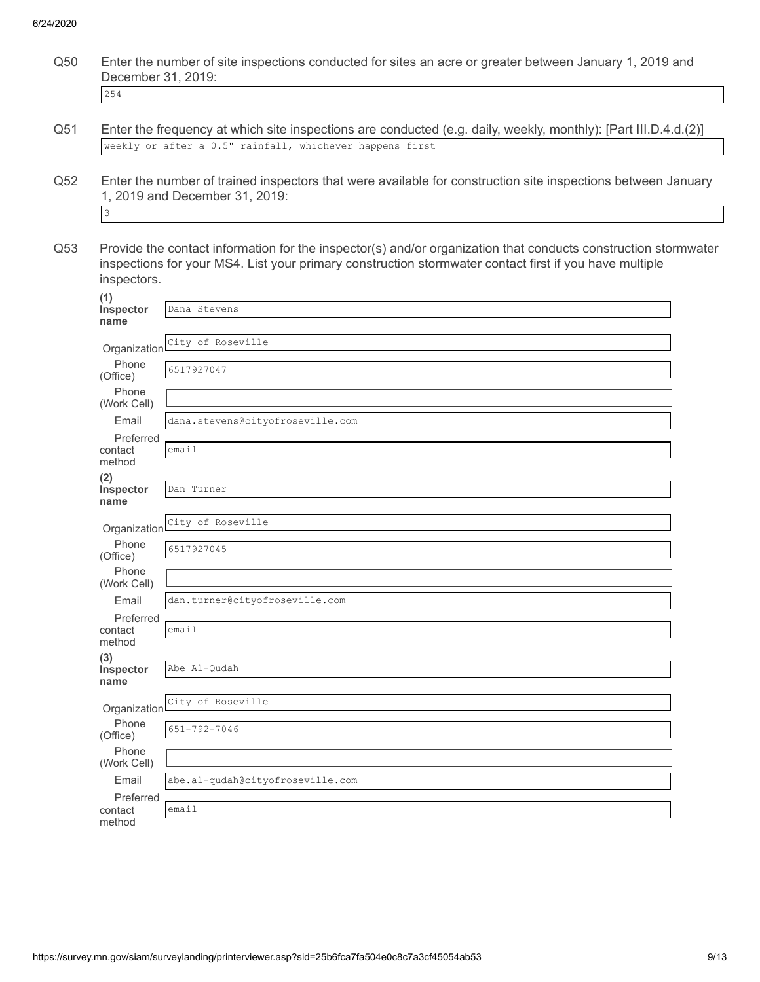Q50 Enter the number of site inspections conducted for sites an acre or greater between January 1, 2019 and December 31, 2019:

254

- Q51 Enter the frequency at which site inspections are conducted (e.g. daily, weekly, monthly): [Part III.D.4.d.(2)] weekly or after a 0.5" rainfall, whichever happens first
- Q52 Enter the number of trained inspectors that were available for construction site inspections between January 1, 2019 and December 31, 2019: 3

Q53 Provide the contact information for the inspector(s) and/or organization that conducts construction stormwater inspections for your MS4. List your primary construction stormwater contact first if you have multiple inspectors.

| (1)                            |                                  |
|--------------------------------|----------------------------------|
| Inspector                      | Dana Stevens                     |
| name                           |                                  |
| Organizationl                  | City of Roseville                |
| Phone<br>(Office)              | 6517927047                       |
| Phone<br>(Work Cell)           |                                  |
| Email                          | dana.stevens@cityofroseville.com |
| Preferred<br>contact<br>method | email                            |
| (2)                            |                                  |
| Inspector                      | Dan Turner                       |
| name                           |                                  |
| Organization                   | City of Roseville                |
| Phone<br>(Office)              | 6517927045                       |
| Phone<br>(Work Cell)           |                                  |
| Email                          | dan.turner@cityofroseville.com   |
| Preferred                      |                                  |
| contact<br>method              | email                            |
| (3)                            |                                  |
| Inspector<br>name              | Abe Al-Qudah                     |
|                                |                                  |
| Organizationl                  | City of Roseville                |
| Phone<br>(Office)              | $651 - 792 - 7046$               |
| Phone<br>(Work Cell)           |                                  |
| Email                          | abe.al-qudah@cityofroseville.com |
| Preferred                      |                                  |
| contact<br>method              | email                            |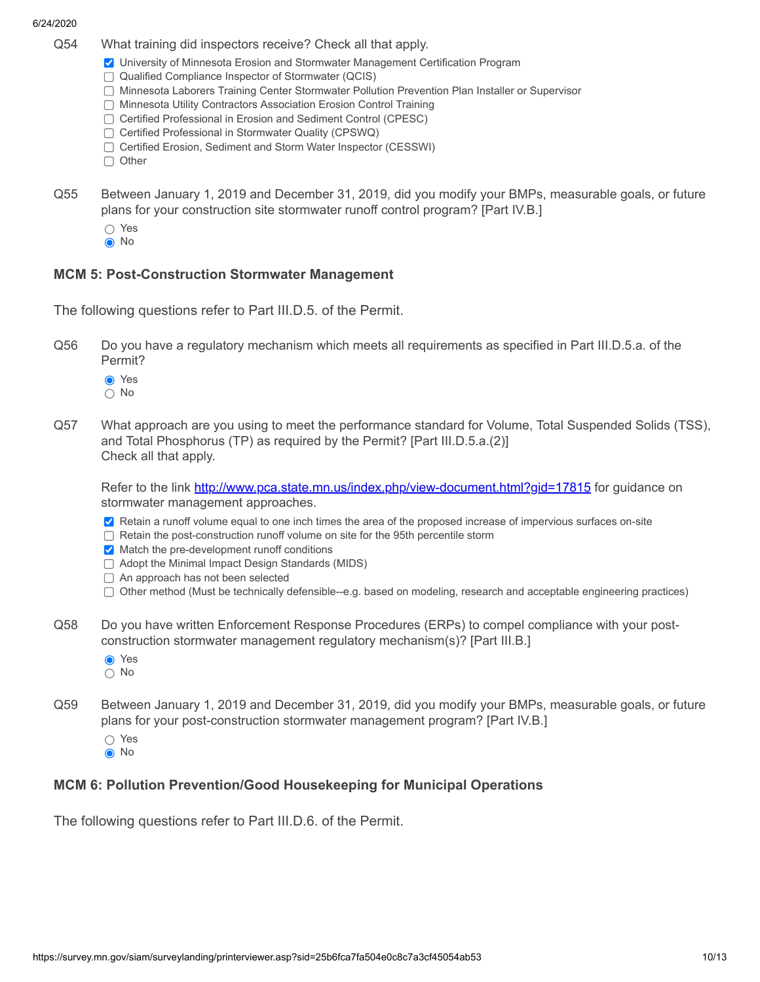- Q54 What training did inspectors receive? Check all that apply.
	- University of Minnesota Erosion and Stormwater Management Certification Program
	- Qualified Compliance Inspector of Stormwater (QCIS)
	- Minnesota Laborers Training Center Stormwater Pollution Prevention Plan Installer or Supervisor
	- Minnesota Utility Contractors Association Erosion Control Training
	- □ Certified Professional in Erosion and Sediment Control (CPESC)
	- □ Certified Professional in Stormwater Quality (CPSWQ)
	- □ Certified Erosion, Sediment and Storm Water Inspector (CESSWI)
	- $\Box$  Other
- Q55 Between January 1, 2019 and December 31, 2019, did you modify your BMPs, measurable goals, or future plans for your construction site stormwater runoff control program? [Part IV.B.]
	- Yes
	- **O**No

### **MCM 5: Post-Construction Stormwater Management**

The following questions refer to Part III.D.5. of the Permit.

- Q56 Do you have a regulatory mechanism which meets all requirements as specified in Part III.D.5.a. of the Permit?
	- **O** Yes
	- No
- Q57 What approach are you using to meet the performance standard for Volume, Total Suspended Solids (TSS), and Total Phosphorus (TP) as required by the Permit? [Part III.D.5.a.(2)] Check all that apply.

Refer to the link <http://www.pca.state.mn.us/index.php/view-document.html?gid=17815> for guidance on stormwater management approaches.

- Retain a runoff volume equal to one inch times the area of the proposed increase of impervious surfaces on-site
- $\Box$  Retain the post-construction runoff volume on site for the 95th percentile storm
- $\vee$  Match the pre-development runoff conditions
- $\Box$  Adopt the Minimal Impact Design Standards (MIDS)
- An approach has not been selected
- $\Box$  Other method (Must be technically defensible--e.g. based on modeling, research and acceptable engineering practices)
- Q58 Do you have written Enforcement Response Procedures (ERPs) to compel compliance with your postconstruction stormwater management regulatory mechanism(s)? [Part III.B.]
	- **⊙** Yes
	- No
- Q59 Between January 1, 2019 and December 31, 2019, did you modify your BMPs, measurable goals, or future plans for your post-construction stormwater management program? [Part IV.B.]
	- Yes
	- **O**No

### **MCM 6: Pollution Prevention/Good Housekeeping for Municipal Operations**

The following questions refer to Part III.D.6. of the Permit.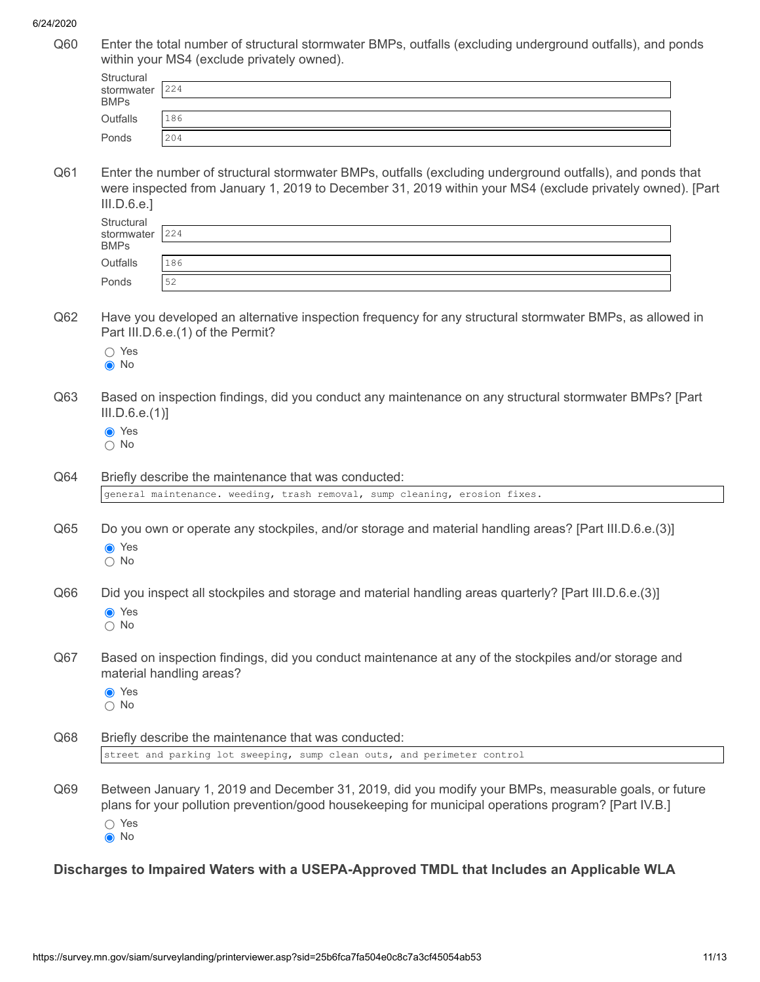Q60 Enter the total number of structural stormwater BMPs, outfalls (excluding underground outfalls), and ponds within your MS4 (exclude privately owned).

| Structural<br>stormwater | 224 |
|--------------------------|-----|
| <b>BMPs</b>              |     |
| Outfalls                 | 186 |
| Ponds                    | 204 |

Q61 Enter the number of structural stormwater BMPs, outfalls (excluding underground outfalls), and ponds that were inspected from January 1, 2019 to December 31, 2019 within your MS4 (exclude privately owned). [Part III.D.6.e.]

| Structural<br>stormwater | 224 |
|--------------------------|-----|
| <b>BMPs</b>              |     |
| Outfalls                 | 186 |
| Ponds                    | 52  |

- Q62 Have you developed an alternative inspection frequency for any structural stormwater BMPs, as allowed in Part III.D.6.e.(1) of the Permit?
	- ∩ Yes
	- **O**No
- Q63 Based on inspection findings, did you conduct any maintenance on any structural stormwater BMPs? [Part III.D.6.e.(1)]
	- **⊙** Yes
	- No

Q64 Briefly describe the maintenance that was conducted:

Q65 Do you own or operate any stockpiles, and/or storage and material handling areas? [Part III.D.6.e.(3)] **⊙** Yes

general maintenance. weeding, trash removal, sump cleaning, erosion fixes.

- $\bigcap$  No
- Q66 Did you inspect all stockpiles and storage and material handling areas quarterly? [Part III.D.6.e.(3)] **⊙** Yes
	- $\bigcap$  No
- Q67 Based on inspection findings, did you conduct maintenance at any of the stockpiles and/or storage and material handling areas?
	- **●** Yes ○ No
	-
- Q68 Briefly describe the maintenance that was conducted: street and parking lot sweeping, sump clean outs, and perimeter control
- Q69 Between January 1, 2019 and December 31, 2019, did you modify your BMPs, measurable goals, or future plans for your pollution prevention/good housekeeping for municipal operations program? [Part IV.B.] ○ Yes **●** No

### **Discharges to Impaired Waters with a USEPA-Approved TMDL that Includes an Applicable WLA**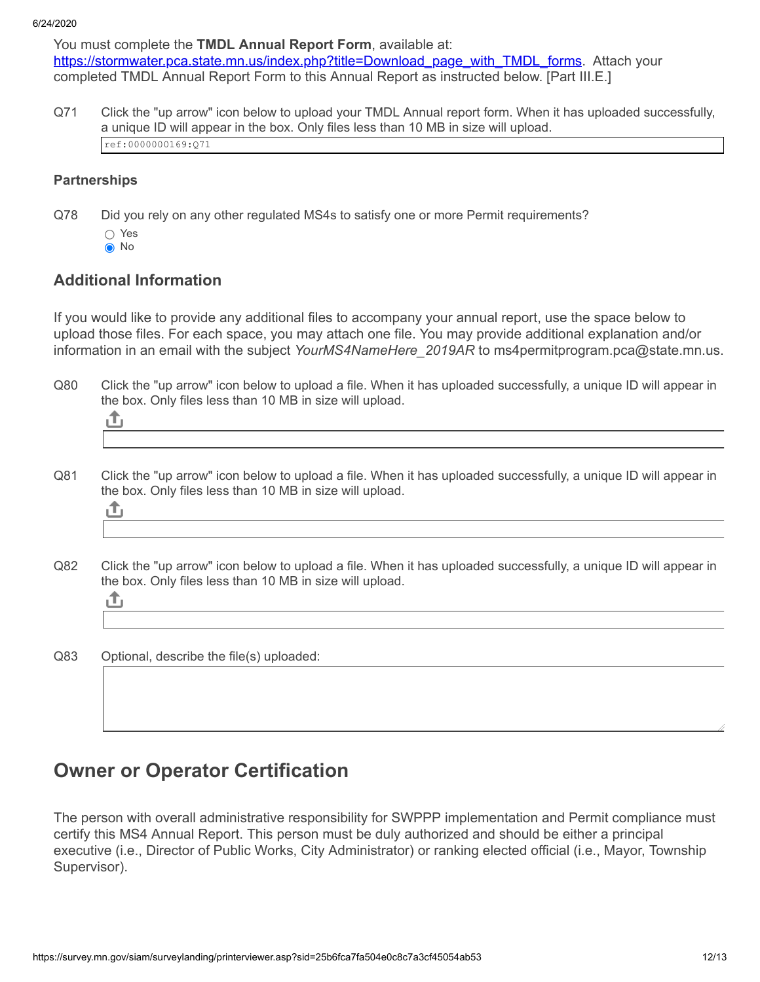You must complete the **TMDL Annual Report Form**, available at: [https://stormwater.pca.state.mn.us/index.php?title=Download\\_page\\_with\\_TMDL\\_forms](https://stormwater.pca.state.mn.us/index.php?title=Download_page_with_TMDL_forms). Attach your completed TMDL Annual Report Form to this Annual Report as instructed below. [Part III.E.]

Q71 Click the "up arrow" icon below to upload your TMDL Annual report form. When it has uploaded successfully, a unique ID will appear in the box. Only files less than 10 MB in size will upload. ref:0000000169:Q71

### **Partnerships**

- Q78 Did you rely on any other regulated MS4s to satisfy one or more Permit requirements?
	- Yes
	- **●** No

## **Additional Information**

If you would like to provide any additional files to accompany your annual report, use the space below to upload those files. For each space, you may attach one file. You may provide additional explanation and/or information in an email with the subject *YourMS4NameHere\_2019AR* to ms4permitprogram.pca@state.mn.us.

Q80 Click the "up arrow" icon below to upload a file. When it has uploaded successfully, a unique ID will appear in the box. Only files less than 10 MB in size will upload.

| ,我们就会不会不会。""我们,我们就会不会不会,我们就会不会不会,我们就会不会不会。""我们,我们就会不会不会。""我们,我们就会不会不会。""我们,我们就会不 |  |  |
|----------------------------------------------------------------------------------|--|--|

Q81 Click the "up arrow" icon below to upload a file. When it has uploaded successfully, a unique ID will appear in the box. Only files less than 10 MB in size will upload.

|  |  | ,我们就会不会不会。""我们,我们就会不会不会,我们就会不会不会。""我们,我们就会不会不会。""我们,我们就会不会不会不会。""我们,我们就会不会不会不会。"" |
|--|--|-----------------------------------------------------------------------------------|
|  |  |                                                                                   |
|  |  |                                                                                   |

Q82 Click the "up arrow" icon below to upload a file. When it has uploaded successfully, a unique ID will appear in the box. Only files less than 10 MB in size will upload.

Q83 Optional, describe the file(s) uploaded:

# **Owner or Operator Certification**

The person with overall administrative responsibility for SWPPP implementation and Permit compliance must certify this MS4 Annual Report. This person must be duly authorized and should be either a principal executive (i.e., Director of Public Works, City Administrator) or ranking elected official (i.e., Mayor, Township Supervisor).